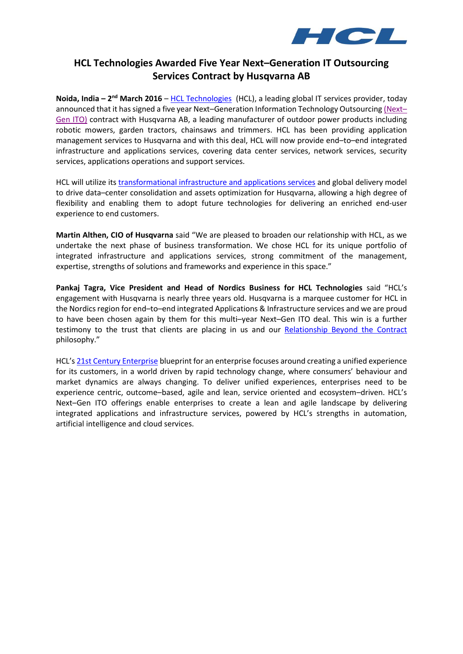

## **HCL Technologies Awarded Five Year Next–Generation IT Outsourcing Services Contract by Husqvarna AB**

**Noida, India – 2<sup>nd</sup> March 2016** – [HCL Technologies](http://www.hcltech.com/) (HCL), a leading global IT services provider, today announced that it has signed a five year Next-Generation Information Technology Outsourcin[g \(Next](http://www.hcltech.com/it-infrastructure-management/introducing-21st-century-enterprise)-[Gen ITO\)](http://www.hcltech.com/it-infrastructure-management/introducing-21st-century-enterprise) contract with Husqvarna AB, a leading manufacturer of outdoor power products including robotic mowers, garden tractors, chainsaws and trimmers. HCL has been providing application management services to Husqvarna and with this deal, HCL will now provide end–to–end integrated infrastructure and applications services, covering data center services, network services, security services, applications operations and support services.

HCL will utilize its [transformational infrastructure and applications services](http://www.hcltech.com/it-infrastructure-management/introducing-21st-century-enterprise) and global delivery model to drive data–center consolidation and assets optimization for Husqvarna, allowing a high degree of flexibility and enabling them to adopt future technologies for delivering an enriched end-user experience to end customers.

**Martin Althen, CIO of Husqvarna** said "We are pleased to broaden our relationship with HCL, as we undertake the next phase of business transformation. We chose HCL for its unique portfolio of integrated infrastructure and applications services, strong commitment of the management, expertise, strengths of solutions and frameworks and experience in this space."

**Pankaj Tagra, Vice President and Head of Nordics Business for HCL Technologies** said "HCL's engagement with Husqvarna is nearly three years old. Husqvarna is a marquee customer for HCL in the Nordics region for end–to–end integrated Applications & Infrastructure services and we are proud to have been chosen again by them for this multi–year Next–Gen ITO deal. This win is a further testimony to the trust that clients are placing in us and our [Relationship Beyond the Contract](http://www.hcltech.com/relationship-beyond-contract) philosophy."

HCL's [21st Century Enterprise](http://www.hcltech.com/21st-century-enterprise/) blueprint for an enterprise focuses around creating a unified experience for its customers, in a world driven by rapid technology change, where consumers' behaviour and market dynamics are always changing. To deliver unified experiences, enterprises need to be experience centric, outcome–based, agile and lean, service oriented and ecosystem–driven. HCL's Next–Gen ITO offerings enable enterprises to create a lean and agile landscape by delivering integrated applications and infrastructure services, powered by HCL's strengths in automation, artificial intelligence and cloud services.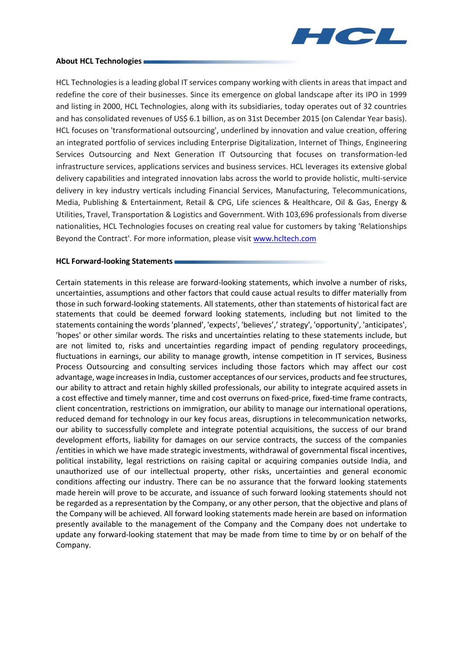

## **About HCL Technologies**

HCL Technologies is a leading global IT services company working with clients in areas that impact and redefine the core of their businesses. Since its emergence on global landscape after its IPO in 1999 and listing in 2000, HCL Technologies, along with its subsidiaries, today operates out of 32 countries and has consolidated revenues of US\$ 6.1 billion, as on 31st December 2015 (on Calendar Year basis). HCL focuses on 'transformational outsourcing', underlined by innovation and value creation, offering an integrated portfolio of services including Enterprise Digitalization, Internet of Things, Engineering Services Outsourcing and Next Generation IT Outsourcing that focuses on transformation-led infrastructure services, applications services and business services. HCL leverages its extensive global delivery capabilities and integrated innovation labs across the world to provide holistic, multi-service delivery in key industry verticals including Financial Services, Manufacturing, Telecommunications, Media, Publishing & Entertainment, Retail & CPG, Life sciences & Healthcare, Oil & Gas, Energy & Utilities, Travel, Transportation & Logistics and Government. With 103,696 professionals from diverse nationalities, HCL Technologies focuses on creating real value for customers by taking 'Relationships Beyond the Contract'. For more information, please visi[t www.hcltech.com](http://www.hcltech.com/)

## **HCL Forward-looking Statements**

Certain statements in this release are forward-looking statements, which involve a number of risks, uncertainties, assumptions and other factors that could cause actual results to differ materially from those in such forward-looking statements. All statements, other than statements of historical fact are statements that could be deemed forward looking statements, including but not limited to the statements containing the words 'planned', 'expects', 'believes',' strategy', 'opportunity', 'anticipates', 'hopes' or other similar words. The risks and uncertainties relating to these statements include, but are not limited to, risks and uncertainties regarding impact of pending regulatory proceedings, fluctuations in earnings, our ability to manage growth, intense competition in IT services, Business Process Outsourcing and consulting services including those factors which may affect our cost advantage, wage increases in India, customer acceptances of our services, products and fee structures, our ability to attract and retain highly skilled professionals, our ability to integrate acquired assets in a cost effective and timely manner, time and cost overruns on fixed-price, fixed-time frame contracts, client concentration, restrictions on immigration, our ability to manage our international operations, reduced demand for technology in our key focus areas, disruptions in telecommunication networks, our ability to successfully complete and integrate potential acquisitions, the success of our brand development efforts, liability for damages on our service contracts, the success of the companies /entities in which we have made strategic investments, withdrawal of governmental fiscal incentives, political instability, legal restrictions on raising capital or acquiring companies outside India, and unauthorized use of our intellectual property, other risks, uncertainties and general economic conditions affecting our industry. There can be no assurance that the forward looking statements made herein will prove to be accurate, and issuance of such forward looking statements should not be regarded as a representation by the Company, or any other person, that the objective and plans of the Company will be achieved. All forward looking statements made herein are based on information presently available to the management of the Company and the Company does not undertake to update any forward-looking statement that may be made from time to time by or on behalf of the Company.